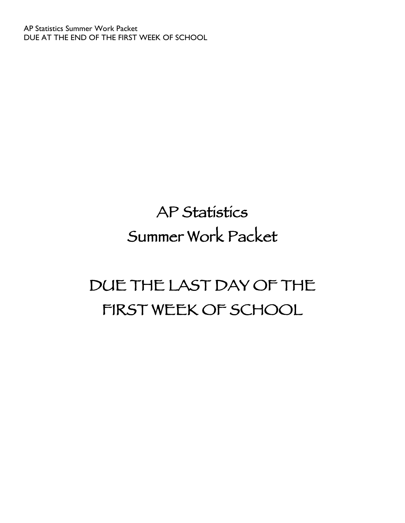# AP Statistics Summer Work Packet

# DUE THE LAST DAY OF THE FIRST WEEK OF SCHOOL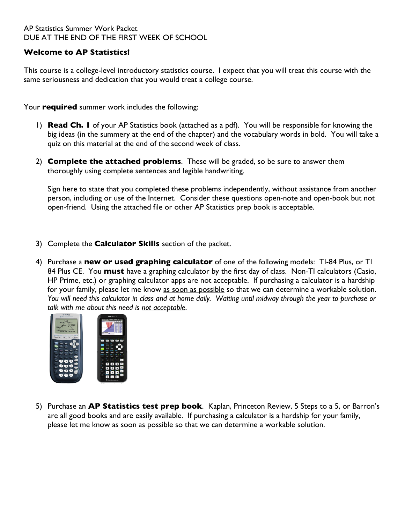## **Welcome to AP Statistics!**

This course is a college-level introductory statistics course. I expect that you will treat this course with the same seriousness and dedication that you would treat a college course.

Your **required** summer work includes the following:

- 1) **Read Ch. 1** of your AP Statistics book (attached as a pdf). You will be responsible for knowing the big ideas (in the summery at the end of the chapter) and the vocabulary words in bold. You will take a quiz on this material at the end of the second week of class.
- 2) **Complete the attached problems**. These will be graded, so be sure to answer them thoroughly using complete sentences and legible handwriting.

Sign here to state that you completed these problems independently, without assistance from another person, including or use of the Internet. Consider these questions open-note and open-book but not open-friend. Using the attached file or other AP Statistics prep book is acceptable.

- 3) Complete the **Calculator Skills** section of the packet.
- 4) Purchase a **new or used graphing calculator** of one of the following models: TI-84 Plus, or TI 84 Plus CE. You **must** have a graphing calculator by the first day of class. Non-TI calculators (Casio, HP Prime, etc.) or graphing calculator apps are not acceptable. If purchasing a calculator is a hardship for your family, please let me know as soon as possible so that we can determine a workable solution. *You will need this calculator in class and at home daily. Waiting until midway through the year to purchase or talk with me about this need is not acceptable*.



5) Purchase an **AP Statistics test prep book**. Kaplan, Princeton Review, 5 Steps to a 5, or Barron's are all good books and are easily available. If purchasing a calculator is a hardship for your family, please let me know as soon as possible so that we can determine a workable solution.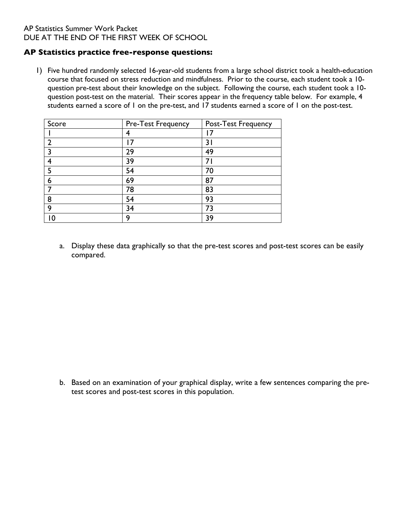#### **AP Statistics practice free-response questions:**

1) Five hundred randomly selected 16-year-old students from a large school district took a health-education course that focused on stress reduction and mindfulness. Prior to the course, each student took a 10 question pre-test about their knowledge on the subject. Following the course, each student took a 10 question post-test on the material. Their scores appear in the frequency table below. For example, 4 students earned a score of 1 on the pre-test, and 17 students earned a score of 1 on the post-test.

| Score         | Pre-Test Frequency | Post-Test Frequency |
|---------------|--------------------|---------------------|
|               |                    |                     |
| $\mathcal{P}$ | 7                  | 3 I                 |
| 3             | 29                 | 49                  |
| 4             | 39                 |                     |
| 5             | 54                 | 70                  |
| 6             | 69                 | 87                  |
| 7             | 78                 | 83                  |
| 8             | 54                 | 93                  |
| 9             | 34                 | 73                  |
|               | Q                  | 39                  |

a. Display these data graphically so that the pre-test scores and post-test scores can be easily compared.

b. Based on an examination of your graphical display, write a few sentences comparing the pretest scores and post-test scores in this population.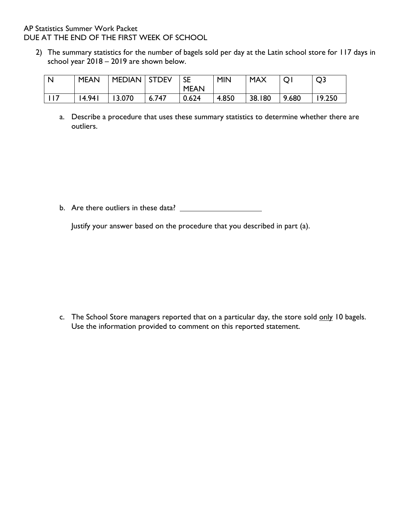2) The summary statistics for the number of bagels sold per day at the Latin school store for 117 days in school year 2018 – 2019 are shown below.

| l N   | <b>MEAN</b> | MEDIAN   STDEV |       | <b>SE</b><br><b>MEAN</b> | <b>MIN</b> | <b>MAX</b> | Q     | Q <sub>3</sub> |
|-------|-------------|----------------|-------|--------------------------|------------|------------|-------|----------------|
| l 117 | 14.941      | 13.070         | 6.747 | 0.624                    | 4.850      | 38.180     | 9.680 | 19.250         |

a. Describe a procedure that uses these summary statistics to determine whether there are outliers.

b. Are there outliers in these data?

Justify your answer based on the procedure that you described in part (a).

c. The School Store managers reported that on a particular day, the store sold only 10 bagels. Use the information provided to comment on this reported statement.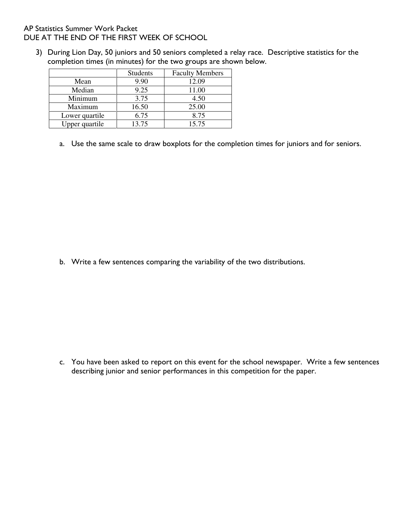3) During Lion Day, 50 juniors and 50 seniors completed a relay race. Descriptive statistics for the completion times (in minutes) for the two groups are shown below.

|                | <b>Students</b> | <b>Faculty Members</b> |
|----------------|-----------------|------------------------|
| Mean           | 9.90            | 12.09                  |
| Median         | 9.25            | 11.00                  |
| Minimum        | 3.75            | 4.50                   |
| Maximum        | 16.50           | 25.00                  |
| Lower quartile | 6.75            | 8.75                   |
| Upper quartile | 13.75           | 15.75                  |

a. Use the same scale to draw boxplots for the completion times for juniors and for seniors.

b. Write a few sentences comparing the variability of the two distributions.

c. You have been asked to report on this event for the school newspaper. Write a few sentences describing junior and senior performances in this competition for the paper.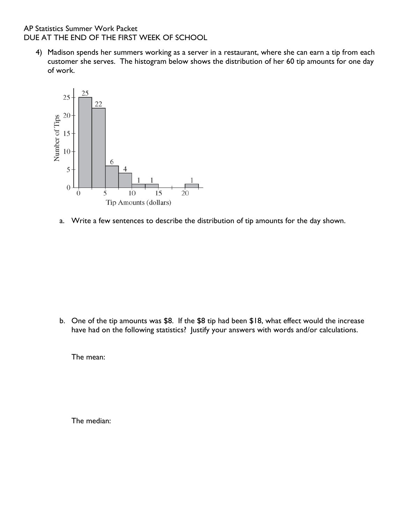AP Statistics Summer Work Packet DUE AT THE END OF THE FIRST WEEK OF SCHOOL **DIRECTIONS: SHOW ALL YOUR FACKEL**<br>Directions: Indicate clearly the methods you will be scored on the methods you will be scored on the score on the DUE AT THE END OF THE FIRST WEEK OF SCHOOL

4) Madison spends her summers working as a server in a restaurant, where she can earn a tip from each customer she serves. The histogram below shows the distribution of her 60 tip amounts for one day of work. serves. The histogram below shows the distribution of her 60 tip amounts for one day of work.



a. Write a few sentences to describe the distribution of tip amounts for the day shown.

b. One of the tip amounts was \$8. If the \$8 tip had been \$18, what effect would the increase have had on the following statistics? Justify your answers with words and/or calculations.

The mean:

The median: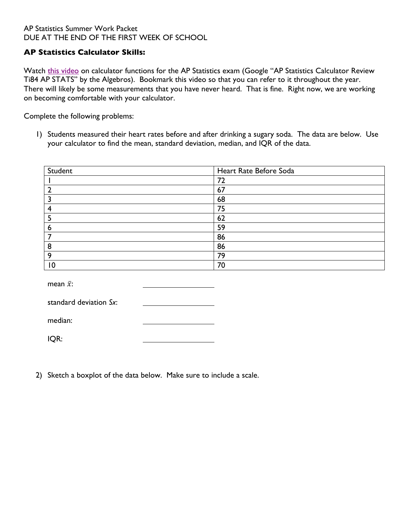## **AP Statistics Calculator Skills:**

Watch this video on calculator functions for the AP Statistics exam (Google "AP Statistics Calculator Review Ti84 AP STATS" by the Algebros). Bookmark this video so that you can refer to it throughout the year. There will likely be some measurements that you have never heard. That is fine. Right now, we are working on becoming comfortable with your calculator.

Complete the following problems:

1) Students measured their heart rates before and after drinking a sugary soda. The data are below. Use your calculator to find the mean, standard deviation, median, and IQR of the data.

| Student | Heart Rate Before Soda |
|---------|------------------------|
|         | 72                     |
|         | 67                     |
|         | 68                     |
|         | 75                     |
|         | 62                     |
|         | 59                     |
|         | 86                     |
| ο<br>o  | 86                     |
| O       | 79                     |
| 10      | 70                     |

mean  $\bar{x}$ :

| standard deviation Sx: |  |
|------------------------|--|
|                        |  |

median:

IQR:

2) Sketch a boxplot of the data below. Make sure to include a scale.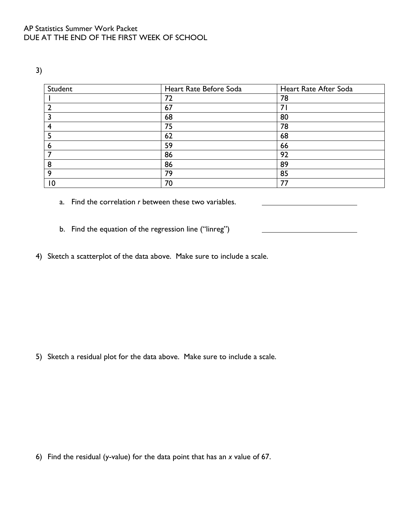<sup>3)</sup>

| Student         | Heart Rate Before Soda | Heart Rate After Soda |
|-----------------|------------------------|-----------------------|
|                 | 72                     | 78                    |
|                 | 67                     | $\overline{7}$        |
|                 | 68                     | 80                    |
|                 | 75                     | 78                    |
|                 | 62                     | 68                    |
| o               | 59                     | 66                    |
|                 | 86                     | 92                    |
| 8               | 86                     | 89                    |
| 9               | 79                     | 85                    |
| $\overline{10}$ | 70                     | 77                    |

- a. Find the correlation *r* between these two variables.
- b. Find the equation of the regression line ("linreg")
- 4) Sketch a scatterplot of the data above. Make sure to include a scale.

5) Sketch a residual plot for the data above. Make sure to include a scale.

6) Find the residual (y-value) for the data point that has an *x* value of 67.